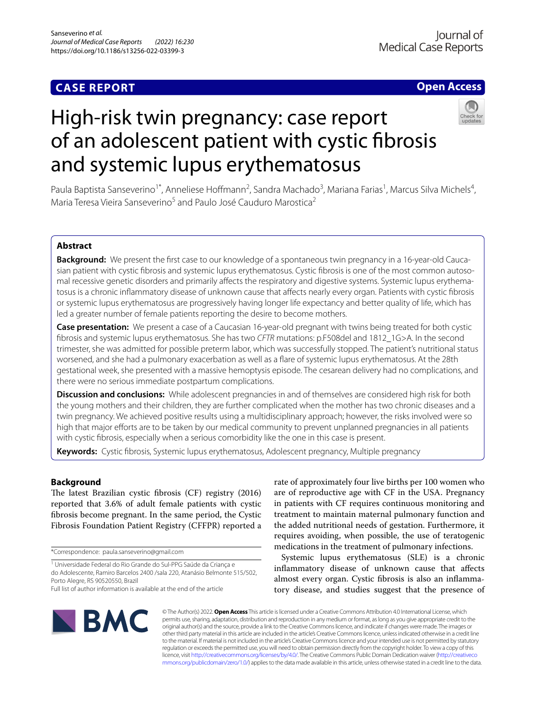# **CASE REPORT**

# **Open Access**

# High-risk twin pregnancy: case report of an adolescent patient with cystic fbrosis and systemic lupus erythematosus

Paula Baptista Sanseverino<sup>1\*</sup>, Anneliese Hoffmann<sup>2</sup>, Sandra Machado<sup>3</sup>, Mariana Farias<sup>1</sup>, Marcus Silva Michels<sup>4</sup>, Maria Teresa Vieira Sanseverino<sup>5</sup> and Paulo José Cauduro Marostica<sup>2</sup>

# **Abstract**

**Background:** We present the frst case to our knowledge of a spontaneous twin pregnancy in a 16-year-old Caucasian patient with cystic fbrosis and systemic lupus erythematosus. Cystic fbrosis is one of the most common autosomal recessive genetic disorders and primarily affects the respiratory and digestive systems. Systemic lupus erythematosus is a chronic infammatory disease of unknown cause that afects nearly every organ. Patients with cystic fbrosis or systemic lupus erythematosus are progressively having longer life expectancy and better quality of life, which has led a greater number of female patients reporting the desire to become mothers.

**Case presentation:** We present a case of a Caucasian 16-year-old pregnant with twins being treated for both cystic fbrosis and systemic lupus erythematosus. She has two *CFTR* mutations: p.F508del and 1812\_1G>A. In the second trimester, she was admitted for possible preterm labor, which was successfully stopped. The patient's nutritional status worsened, and she had a pulmonary exacerbation as well as a fare of systemic lupus erythematosus. At the 28th gestational week, she presented with a massive hemoptysis episode. The cesarean delivery had no complications, and there were no serious immediate postpartum complications.

**Discussion and conclusions:** While adolescent pregnancies in and of themselves are considered high risk for both the young mothers and their children, they are further complicated when the mother has two chronic diseases and a twin pregnancy. We achieved positive results using a multidisciplinary approach; however, the risks involved were so high that major efforts are to be taken by our medical community to prevent unplanned pregnancies in all patients with cystic fbrosis, especially when a serious comorbidity like the one in this case is present.

**Keywords:** Cystic fbrosis, Systemic lupus erythematosus, Adolescent pregnancy, Multiple pregnancy

## **Background**

The latest Brazilian cystic fibrosis (CF) registry (2016) reported that 3.6% of adult female patients with cystic fbrosis become pregnant. In the same period, the Cystic Fibrosis Foundation Patient Registry (CFFPR) reported a

\*Correspondence: paula.sanseverino@gmail.com

rate of approximately four live births per 100 women who are of reproductive age with CF in the USA. Pregnancy in patients with CF requires continuous monitoring and treatment to maintain maternal pulmonary function and the added nutritional needs of gestation. Furthermore, it requires avoiding, when possible, the use of teratogenic medications in the treatment of pulmonary infections.

Systemic lupus erythematosus (SLE) is a chronic infammatory disease of unknown cause that afects almost every organ. Cystic fbrosis is also an infammatory disease, and studies suggest that the presence of



© The Author(s) 2022. **Open Access** This article is licensed under a Creative Commons Attribution 4.0 International License, which permits use, sharing, adaptation, distribution and reproduction in any medium or format, as long as you give appropriate credit to the original author(s) and the source, provide a link to the Creative Commons licence, and indicate if changes were made. The images or other third party material in this article are included in the article's Creative Commons licence, unless indicated otherwise in a credit line to the material. If material is not included in the article's Creative Commons licence and your intended use is not permitted by statutory regulation or exceeds the permitted use, you will need to obtain permission directly from the copyright holder. To view a copy of this licence, visit [http://creativecommons.org/licenses/by/4.0/.](http://creativecommons.org/licenses/by/4.0/) The Creative Commons Public Domain Dedication waiver ([http://creativeco](http://creativecommons.org/publicdomain/zero/1.0/) [mmons.org/publicdomain/zero/1.0/](http://creativecommons.org/publicdomain/zero/1.0/)) applies to the data made available in this article, unless otherwise stated in a credit line to the data.

<sup>1</sup> Universidade Federal do Rio Grande do Sul-PPG Saúde da Criança e do Adolescente, Ramiro Barcelos 2400 /sala 220, Atanásio Belmonte 515/502, Porto Alegre, RS 90520550, Brazil

Full list of author information is available at the end of the article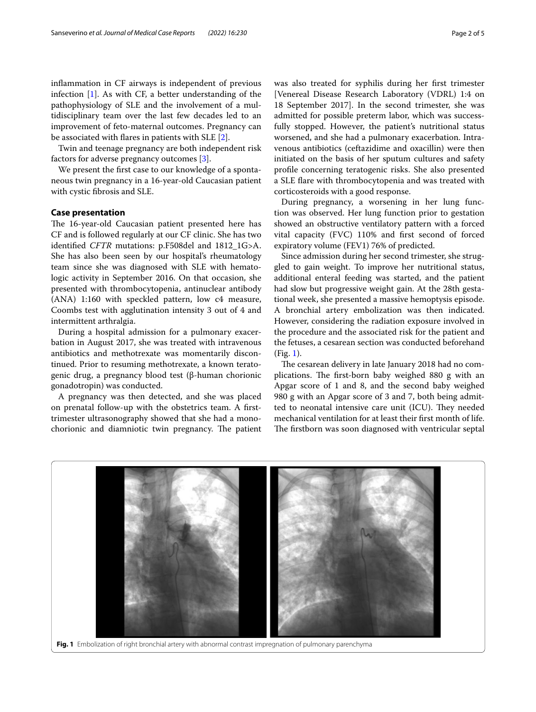infammation in CF airways is independent of previous infection [[1\]](#page-3-0). As with CF, a better understanding of the pathophysiology of SLE and the involvement of a multidisciplinary team over the last few decades led to an improvement of feto-maternal outcomes. Pregnancy can be associated with fares in patients with SLE [\[2](#page-3-1)].

Twin and teenage pregnancy are both independent risk factors for adverse pregnancy outcomes [\[3](#page-3-2)].

We present the frst case to our knowledge of a spontaneous twin pregnancy in a 16-year-old Caucasian patient with cystic fbrosis and SLE.

#### **Case presentation**

The 16-year-old Caucasian patient presented here has CF and is followed regularly at our CF clinic. She has two identifed *CFTR* mutations: p.F508del and 1812\_1G>A. She has also been seen by our hospital's rheumatology team since she was diagnosed with SLE with hematologic activity in September 2016. On that occasion, she presented with thrombocytopenia, antinuclear antibody (ANA) 1:160 with speckled pattern, low c4 measure, Coombs test with agglutination intensity 3 out of 4 and intermittent arthralgia.

During a hospital admission for a pulmonary exacerbation in August 2017, she was treated with intravenous antibiotics and methotrexate was momentarily discontinued. Prior to resuming methotrexate, a known teratogenic drug, a pregnancy blood test (β-human chorionic gonadotropin) was conducted.

A pregnancy was then detected, and she was placed on prenatal follow-up with the obstetrics team. A frsttrimester ultrasonography showed that she had a monochorionic and diamniotic twin pregnancy. The patient was also treated for syphilis during her frst trimester [Venereal Disease Research Laboratory (VDRL) 1:4 on 18 September 2017]. In the second trimester, she was admitted for possible preterm labor, which was successfully stopped. However, the patient's nutritional status worsened, and she had a pulmonary exacerbation. Intravenous antibiotics (ceftazidime and oxacillin) were then initiated on the basis of her sputum cultures and safety profle concerning teratogenic risks. She also presented a SLE fare with thrombocytopenia and was treated with corticosteroids with a good response.

During pregnancy, a worsening in her lung function was observed. Her lung function prior to gestation showed an obstructive ventilatory pattern with a forced vital capacity (FVC) 110% and frst second of forced expiratory volume (FEV1) 76% of predicted.

Since admission during her second trimester, she struggled to gain weight. To improve her nutritional status, additional enteral feeding was started, and the patient had slow but progressive weight gain. At the 28th gestational week, she presented a massive hemoptysis episode. A bronchial artery embolization was then indicated. However, considering the radiation exposure involved in the procedure and the associated risk for the patient and the fetuses, a cesarean section was conducted beforehand (Fig. [1\)](#page-1-0).

The cesarean delivery in late January 2018 had no complications. The first-born baby weighed 880 g with an Apgar score of 1 and 8, and the second baby weighed 980 g with an Apgar score of 3 and 7, both being admitted to neonatal intensive care unit (ICU). They needed mechanical ventilation for at least their frst month of life. The firstborn was soon diagnosed with ventricular septal

<span id="page-1-0"></span>

**Fig. 1** Embolization of right bronchial artery with abnormal contrast impregnation of pulmonary parenchyma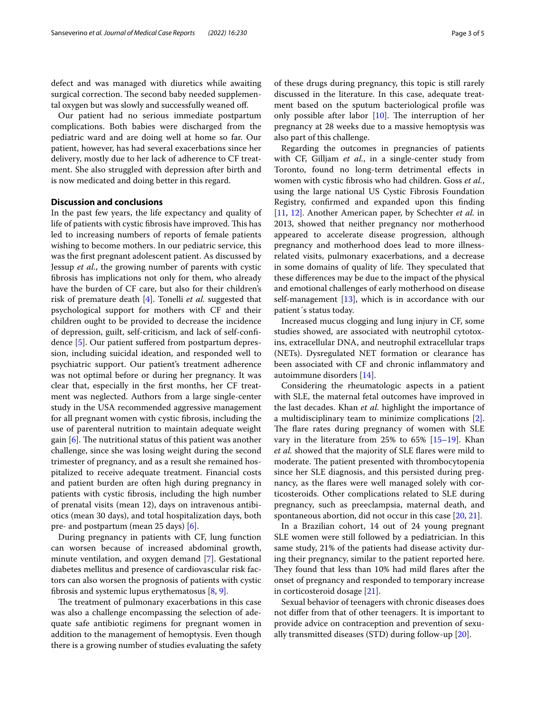defect and was managed with diuretics while awaiting surgical correction. The second baby needed supplemental oxygen but was slowly and successfully weaned of.

Our patient had no serious immediate postpartum complications. Both babies were discharged from the pediatric ward and are doing well at home so far. Our patient, however, has had several exacerbations since her delivery, mostly due to her lack of adherence to CF treatment. She also struggled with depression after birth and is now medicated and doing better in this regard.

### **Discussion and conclusions**

In the past few years, the life expectancy and quality of life of patients with cystic fibrosis have improved. This has led to increasing numbers of reports of female patients wishing to become mothers. In our pediatric service, this was the frst pregnant adolescent patient. As discussed by Jessup *et al.*, the growing number of parents with cystic fbrosis has implications not only for them, who already have the burden of CF care, but also for their children's risk of premature death [[4\]](#page-3-3). Tonelli *et al.* suggested that psychological support for mothers with CF and their children ought to be provided to decrease the incidence of depression, guilt, self-criticism, and lack of self-confdence [[5\]](#page-3-4). Our patient sufered from postpartum depression, including suicidal ideation, and responded well to psychiatric support. Our patient's treatment adherence was not optimal before or during her pregnancy. It was clear that, especially in the frst months, her CF treatment was neglected. Authors from a large single-center study in the USA recommended aggressive management for all pregnant women with cystic fbrosis, including the use of parenteral nutrition to maintain adequate weight gain  $[6]$  $[6]$  $[6]$ . The nutritional status of this patient was another challenge, since she was losing weight during the second trimester of pregnancy, and as a result she remained hospitalized to receive adequate treatment. Financial costs and patient burden are often high during pregnancy in patients with cystic fbrosis, including the high number of prenatal visits (mean 12), days on intravenous antibiotics (mean 30 days), and total hospitalization days, both pre- and postpartum (mean 25 days) [[6\]](#page-3-5).

During pregnancy in patients with CF, lung function can worsen because of increased abdominal growth, minute ventilation, and oxygen demand [[7\]](#page-3-6). Gestational diabetes mellitus and presence of cardiovascular risk factors can also worsen the prognosis of patients with cystic fbrosis and systemic lupus erythematosus [\[8,](#page-4-0) [9](#page-4-1)].

The treatment of pulmonary exacerbations in this case was also a challenge encompassing the selection of adequate safe antibiotic regimens for pregnant women in addition to the management of hemoptysis. Even though there is a growing number of studies evaluating the safety of these drugs during pregnancy, this topic is still rarely discussed in the literature. In this case, adequate treatment based on the sputum bacteriological profle was only possible after labor  $[10]$  $[10]$ . The interruption of her pregnancy at 28 weeks due to a massive hemoptysis was also part of this challenge.

Regarding the outcomes in pregnancies of patients with CF, Gilljam *et al.*, in a single-center study from Toronto, found no long-term detrimental efects in women with cystic fbrosis who had children. Goss *et al.*, using the large national US Cystic Fibrosis Foundation Registry, confrmed and expanded upon this fnding [[11,](#page-4-3) [12\]](#page-4-4). Another American paper, by Schechter *et al.* in 2013, showed that neither pregnancy nor motherhood appeared to accelerate disease progression, although pregnancy and motherhood does lead to more illnessrelated visits, pulmonary exacerbations, and a decrease in some domains of quality of life. They speculated that these diferences may be due to the impact of the physical and emotional challenges of early motherhood on disease self-management [\[13](#page-4-5)], which is in accordance with our patient´s status today.

Increased mucus clogging and lung injury in CF, some studies showed, are associated with neutrophil cytotoxins, extracellular DNA, and neutrophil extracellular traps (NETs). Dysregulated NET formation or clearance has been associated with CF and chronic infammatory and autoimmune disorders [[14\]](#page-4-6).

Considering the rheumatologic aspects in a patient with SLE, the maternal fetal outcomes have improved in the last decades. Khan *et al.* highlight the importance of a multidisciplinary team to minimize complications [\[2](#page-3-1)]. The flare rates during pregnancy of women with SLE vary in the literature from 25% to 65% [\[15](#page-4-7)[–19\]](#page-4-8). Khan *et al.* showed that the majority of SLE fares were mild to moderate. The patient presented with thrombocytopenia since her SLE diagnosis, and this persisted during pregnancy, as the fares were well managed solely with corticosteroids. Other complications related to SLE during pregnancy, such as preeclampsia, maternal death, and spontaneous abortion, did not occur in this case [\[20](#page-4-9), [21\]](#page-4-10).

In a Brazilian cohort, 14 out of 24 young pregnant SLE women were still followed by a pediatrician. In this same study, 21% of the patients had disease activity during their pregnancy, similar to the patient reported here. They found that less than 10% had mild flares after the onset of pregnancy and responded to temporary increase in corticosteroid dosage [[21\]](#page-4-10).

Sexual behavior of teenagers with chronic diseases does not difer from that of other teenagers. It is important to provide advice on contraception and prevention of sexually transmitted diseases (STD) during follow-up [[20\]](#page-4-9).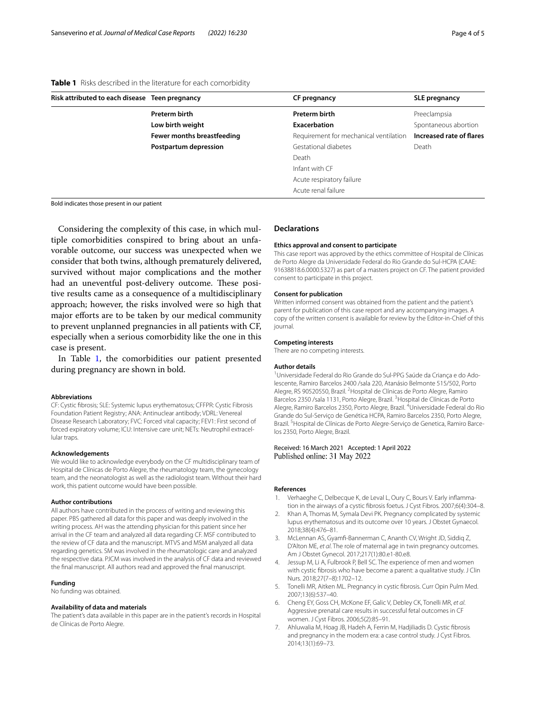<span id="page-3-7"></span>

| Table 1 Risks described in the literature for each comorbidity |  |  |
|----------------------------------------------------------------|--|--|
|----------------------------------------------------------------|--|--|

| Risk attributed to each disease Teen pregnancy | CF pregnancy                           | <b>SLE pregnancy</b>     |
|------------------------------------------------|----------------------------------------|--------------------------|
| Preterm birth                                  | Preterm birth                          | Preeclampsia             |
| Low birth weight                               | Exacerbation                           | Spontaneous abortion     |
| Fewer months breastfeeding                     | Requirement for mechanical ventilation | Increased rate of flares |
| Postpartum depression                          | Gestational diabetes                   | Death                    |
|                                                | Death                                  |                          |
|                                                | Infant with CF                         |                          |
|                                                | Acute respiratory failure              |                          |
|                                                | Acute renal failure                    |                          |
|                                                |                                        |                          |

Bold indicates those present in our patient

Considering the complexity of this case, in which multiple comorbidities conspired to bring about an unfavorable outcome, our success was unexpected when we consider that both twins, although prematurely delivered, survived without major complications and the mother had an uneventful post-delivery outcome. These positive results came as a consequence of a multidisciplinary approach; however, the risks involved were so high that major efforts are to be taken by our medical community to prevent unplanned pregnancies in all patients with CF, especially when a serious comorbidity like the one in this case is present.

In Table [1,](#page-3-7) the comorbidities our patient presented during pregnancy are shown in bold.

#### **Abbreviations**

CF: Cystic fbrosis; SLE: Systemic lupus erythematosus; CFFPR: Cystic Fibrosis Foundation Patient Registry; ANA: Antinuclear antibody; VDRL: Venereal Disease Research Laboratory; FVC: Forced vital capacity; FEV1: First second of forced expiratory volume; ICU: Intensive care unit; NETs: Neutrophil extracellular traps.

#### **Acknowledgements**

We would like to acknowledge everybody on the CF multidisciplinary team of Hospital de Clínicas de Porto Alegre, the rheumatology team, the gynecology team, and the neonatologist as well as the radiologist team. Without their hard work, this patient outcome would have been possible.

#### **Author contributions**

All authors have contributed in the process of writing and reviewing this paper. PBS gathered all data for this paper and was deeply involved in the writing process. AH was the attending physician for this patient since her arrival in the CF team and analyzed all data regarding CF. MSF contributed to the review of CF data and the manuscript. MTVS and MSM analyzed all data regarding genetics. SM was involved in the rheumatologic care and analyzed the respective data. PJCM was involved in the analysis of CF data and reviewed the fnal manuscript. All authors read and approved the fnal manuscript.

#### **Funding**

No funding was obtained.

#### **Availability of data and materials**

The patient's data available in this paper are in the patient's records in Hospital de Clínicas de Porto Alegre.

#### **Declarations**

#### **Ethics approval and consent to participate**

This case report was approved by the ethics committee of Hospital de Clínicas de Porto Alegre da Universidade Federal do Rio Grande do Sul-HCPA (CAAE: 91638818.6.0000.5327) as part of a masters project on CF. The patient provided consent to participate in this project.

#### **Consent for publication**

Written informed consent was obtained from the patient and the patient's parent for publication of this case report and any accompanying images. A copy of the written consent is available for review by the Editor-in-Chief of this journal.

#### **Competing interests**

There are no competing interests.

#### **Author details**

<sup>1</sup> Universidade Federal do Rio Grande do Sul-PPG Saúde da Criança e do Adolescente, Ramiro Barcelos 2400 /sala 220, Atanásio Belmonte 515/502, Porto Alegre, RS 90520550, Brazil. <sup>2</sup> Hospital de Clínicas de Porto Alegre, Ramiro Barcelos 2350 /sala 1131, Porto Alegre, Brazil. <sup>3</sup> Hospital de Clínicas de Porto Alegre, Ramiro Barcelos 2350, Porto Alegre, Brazil. <sup>4</sup>Universidade Federal do Rio Grande do Sul-Serviço de Genética HCPA, Ramiro Barcelos 2350, Porto Alegre, Brazil.<sup>5</sup> Hospital de Clínicas de Porto Alegre-Serviço de Genetica, Ramiro Barcelos 2350, Porto Alegre, Brazil.

#### Received: 16 March 2021 Accepted: 1 April 2022 Published online: 31 May 2022

#### **References**

- <span id="page-3-0"></span>Verhaeghe C, Delbecque K, de Leval L, Oury C, Bours V. Early inflammation in the airways of a cystic fbrosis foetus. J Cyst Fibros. 2007;6(4):304–8.
- <span id="page-3-1"></span>2. Khan A, Thomas M, Symala Devi PK. Pregnancy complicated by systemic lupus erythematosus and its outcome over 10 years. J Obstet Gynaecol. 2018;38(4):476–81.
- <span id="page-3-2"></span>3. McLennan AS, Gyamf-Bannerman C, Ananth CV, Wright JD, Siddiq Z, D'Alton ME, *et al*. The role of maternal age in twin pregnancy outcomes. Am J Obstet Gynecol. 2017;217(1):80.e1-80.e8.
- <span id="page-3-3"></span>4. Jessup M, Li A, Fulbrook P, Bell SC. The experience of men and women with cystic fbrosis who have become a parent: a qualitative study. J Clin Nurs. 2018;27(7–8):1702–12.
- <span id="page-3-4"></span>5. Tonelli MR, Aitken ML. Pregnancy in cystic fbrosis. Curr Opin Pulm Med. 2007;13(6):537–40.
- <span id="page-3-5"></span>6. Cheng EY, Goss CH, McKone EF, Galic V, Debley CK, Tonelli MR, *et al*. Aggressive prenatal care results in successful fetal outcomes in CF women. J Cyst Fibros. 2006;5(2):85–91.
- <span id="page-3-6"></span>7. Ahluwalia M, Hoag JB, Hadeh A, Ferrin M, Hadjiliadis D. Cystic fbrosis and pregnancy in the modern era: a case control study. J Cyst Fibros. 2014;13(1):69–73.